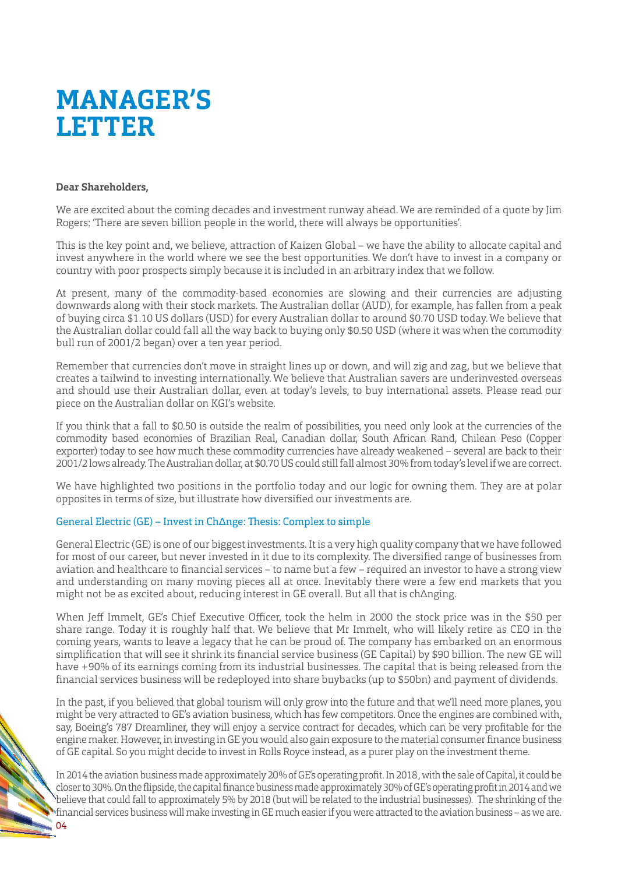# **MANAGER'S LETTER**

#### **Dear Shareholders,**

We are excited about the coming decades and investment runway ahead. We are reminded of a quote by Jim Rogers: 'There are seven billion people in the world, there will always be opportunities'.

This is the key point and, we believe, attraction of Kaizen Global – we have the ability to allocate capital and invest anywhere in the world where we see the best opportunities. We don't have to invest in a company or country with poor prospects simply because it is included in an arbitrary index that we follow.

At present, many of the commodity-based economies are slowing and their currencies are adjusting downwards along with their stock markets. The Australian dollar (AUD), for example, has fallen from a peak of buying circa \$1.10 US dollars (USD) for every Australian dollar to around \$0.70 USD today. We believe that the Australian dollar could fall all the way back to buying only \$0.50 USD (where it was when the commodity bull run of 2001/2 began) over a ten year period.

Remember that currencies don't move in straight lines up or down, and will zig and zag, but we believe that creates a tailwind to investing internationally. We believe that Australian savers are underinvested overseas and should use their Australian dollar, even at today's levels, to buy international assets. Please read our piece on the Australian dollar on KGI's website.

If you think that a fall to \$0.50 is outside the realm of possibilities, you need only look at the currencies of the commodity based economies of Brazilian Real, Canadian dollar, South African Rand, Chilean Peso (Copper exporter) today to see how much these commodity currencies have already weakened – several are back to their 2001/2 lows already. The Australian dollar, at \$0.70 US could still fall almost 30% from today's level if we are correct.

We have highlighted two positions in the portfolio today and our logic for owning them. They are at polar opposites in terms of size, but illustrate how diversified our investments are.

## General Electric (GE) – Invest in Ch∆nge: Thesis: Complex to simple

General Electric (GE) is one of our biggest investments. It is a very high quality company that we have followed for most of our career, but never invested in it due to its complexity. The diversified range of businesses from aviation and healthcare to financial services – to name but a few – required an investor to have a strong view and understanding on many moving pieces all at once. Inevitably there were a few end markets that you might not be as excited about, reducing interest in GE overall. But all that is ch∆nging.

When Jeff Immelt, GE's Chief Executive Officer, took the helm in 2000 the stock price was in the \$50 per share range. Today it is roughly half that. We believe that Mr Immelt, who will likely retire as CEO in the coming years, wants to leave a legacy that he can be proud of. The company has embarked on an enormous simplification that will see it shrink its financial service business (GE Capital) by \$90 billion. The new GE will have +90% of its earnings coming from its industrial businesses. The capital that is being released from the financial services business will be redeployed into share buybacks (up to \$50bn) and payment of dividends.

In the past, if you believed that global tourism will only grow into the future and that we'll need more planes, you might be very attracted to GE's aviation business, which has few competitors. Once the engines are combined with, say, Boeing's 787 Dreamliner, they will enjoy a service contract for decades, which can be very profitable for the engine maker. However, in investing in GE you would also gain exposure to the material consumer finance business of GE capital. So you might decide to invest in Rolls Royce instead, as a purer play on the investment theme.

In 2014 the aviation business made approximately 20% of GE's operating profit. In 2018 , with the sale of Capital, it could be closer to 30%. On the flipside, the capital finance business made approximately 30% of GE's operating profit in 2014 and we believe that could fall to approximately 5% by 2018 (but will be related to the industrial businesses). The shrinking of the financial services business will make investing in GE much easier if you were attracted to the aviation business – as we are.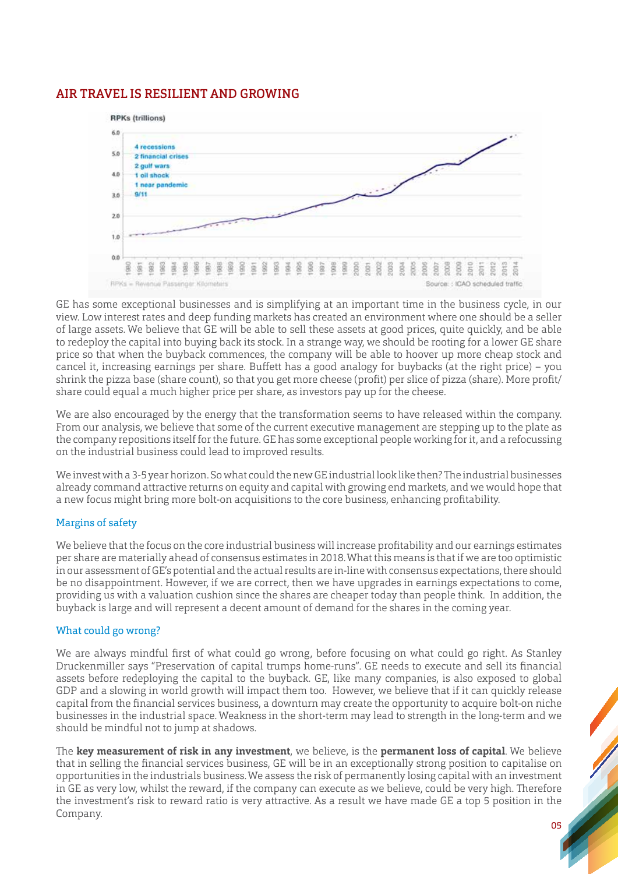## AIR TRAVEL IS RESILIENT AND GROWING



GE has some exceptional businesses and is simplifying at an important time in the business cycle, in our view. Low interest rates and deep funding markets has created an environment where one should be a seller of large assets. We believe that GE will be able to sell these assets at good prices, quite quickly, and be able to redeploy the capital into buying back its stock. In a strange way, we should be rooting for a lower GE share price so that when the buyback commences, the company will be able to hoover up more cheap stock and cancel it, increasing earnings per share. Bufett has a good analogy for buybacks (at the right price) – you shrink the pizza base (share count), so that you get more cheese (profit) per slice of pizza (share). More profit/ share could equal a much higher price per share, as investors pay up for the cheese.

We are also encouraged by the energy that the transformation seems to have released within the company. From our analysis, we believe that some of the current executive management are stepping up to the plate as the company repositions itself for the future. GE has some exceptional people working for it, and a refocussing on the industrial business could lead to improved results.

We invest with a 3-5 year horizon. So what could the new GE industrial look like then? The industrial businesses already command attractive returns on equity and capital with growing end markets, and we would hope that a new focus might bring more bolt-on acquisitions to the core business, enhancing profitability.

## Margins of safety

We believe that the focus on the core industrial business will increase profitability and our earnings estimates per share are materially ahead of consensus estimates in 2018. What this means is that if we are too optimistic in our assessment of GE's potential and the actual results are in-line with consensus expectations, there should be no disappointment. However, if we are correct, then we have upgrades in earnings expectations to come, providing us with a valuation cushion since the shares are cheaper today than people think. In addition, the buyback is large and will represent a decent amount of demand for the shares in the coming year.

#### What could go wrong?

We are always mindful first of what could go wrong, before focusing on what could go right. As Stanley Druckenmiller says "Preservation of capital trumps home-runs". GE needs to execute and sell its financial assets before redeploying the capital to the buyback. GE, like many companies, is also exposed to global GDP and a slowing in world growth will impact them too. However, we believe that if it can quickly release capital from the financial services business, a downturn may create the opportunity to acquire bolt-on niche businesses in the industrial space. Weakness in the short-term may lead to strength in the long-term and we should be mindful not to jump at shadows.

The **key measurement of risk in any investment**, we believe, is the **permanent loss of capital**. We believe that in selling the financial services business, GE will be in an exceptionally strong position to capitalise on opportunities in the industrials business. We assess the risk of permanently losing capital with an investment in GE as very low, whilst the reward, if the company can execute as we believe, could be very high. Therefore the investment's risk to reward ratio is very attractive. As a result we have made GE a top 5 position in the Company.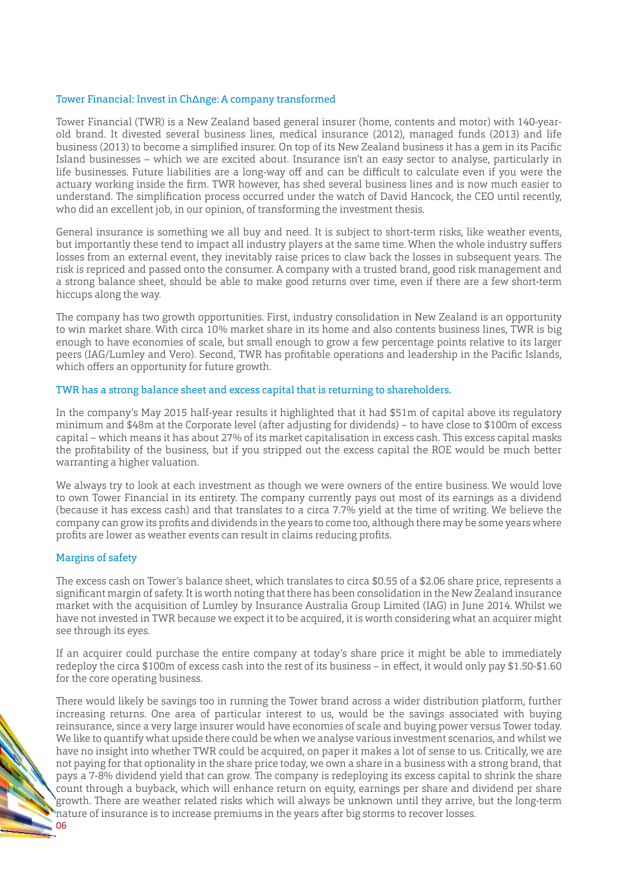#### Tower Financial: Invest in Ch∆nge: A company transformed

Tower Financial (TWR) is a New Zealand based general insurer (home, contents and motor) with 140-yearold brand. It divested several business lines, medical insurance (2012), managed funds (2013) and life business (2013) to become a simplified insurer. On top of its New Zealand business it has a gem in its Pacific Island businesses – which we are excited about. Insurance isn't an easy sector to analyse, particularly in life businesses. Future liabilities are a long-way off and can be difficult to calculate even if you were the actuary working inside the firm. TWR however, has shed several business lines and is now much easier to understand. The simplification process occurred under the watch of David Hancock, the CEO until recently, who did an excellent job, in our opinion, of transforming the investment thesis.

General insurance is something we all buy and need. It is subject to short-term risks, like weather events, but importantly these tend to impact all industry players at the same time. When the whole industry sufers losses from an external event, they inevitably raise prices to claw back the losses in subsequent years. The risk is repriced and passed onto the consumer. A company with a trusted brand, good risk management and a strong balance sheet, should be able to make good returns over time, even if there are a few short-term hiccups along the way.

The company has two growth opportunities. First, industry consolidation in New Zealand is an opportunity to win market share. With circa 10% market share in its home and also contents business lines, TWR is big enough to have economies of scale, but small enough to grow a few percentage points relative to its larger peers (IAG/Lumley and Vero). Second, TWR has profitable operations and leadership in the Pacific Islands, which offers an opportunity for future growth.

#### TWR has a strong balance sheet and excess capital that is returning to shareholders.

In the company's May 2015 half-year results it highlighted that it had \$51m of capital above its regulatory minimum and \$48m at the Corporate level (after adjusting for dividends) – to have close to \$100m of excess capital – which means it has about 27% of its market capitalisation in excess cash. This excess capital masks the profitability of the business, but if you stripped out the excess capital the ROE would be much better warranting a higher valuation.

We always try to look at each investment as though we were owners of the entire business. We would love to own Tower Financial in its entirety. The company currently pays out most of its earnings as a dividend (because it has excess cash) and that translates to a circa 7.7% yield at the time of writing. We believe the company can grow its profits and dividends in the years to come too, although there may be some years where profits are lower as weather events can result in claims reducing profits.

#### Margins of safety

The excess cash on Tower's balance sheet, which translates to circa \$0.55 of a \$2.06 share price, represents a significant margin of safety. It is worth noting that there has been consolidation in the New Zealand insurance market with the acquisition of Lumley by Insurance Australia Group Limited (IAG) in June 2014. Whilst we have not invested in TWR because we expect it to be acquired, it is worth considering what an acquirer might see through its eyes.

If an acquirer could purchase the entire company at today's share price it might be able to immediately redeploy the circa \$100m of excess cash into the rest of its business – in efect, it would only pay \$1.50-\$1.60 for the core operating business.

There would likely be savings too in running the Tower brand across a wider distribution platform, further increasing returns. One area of particular interest to us, would be the savings associated with buying reinsurance, since a very large insurer would have economies of scale and buying power versus Tower today. We like to quantify what upside there could be when we analyse various investment scenarios, and whilst we have no insight into whether TWR could be acquired, on paper it makes a lot of sense to us. Critically, we are not paying for that optionality in the share price today, we own a share in a business with a strong brand, that pays a 7-8% dividend yield that can grow. The company is redeploying its excess capital to shrink the share count through a buyback, which will enhance return on equity, earnings per share and dividend per share growth. There are weather related risks which will always be unknown until they arrive, but the long-term nature of insurance is to increase premiums in the years after big storms to recover losses.